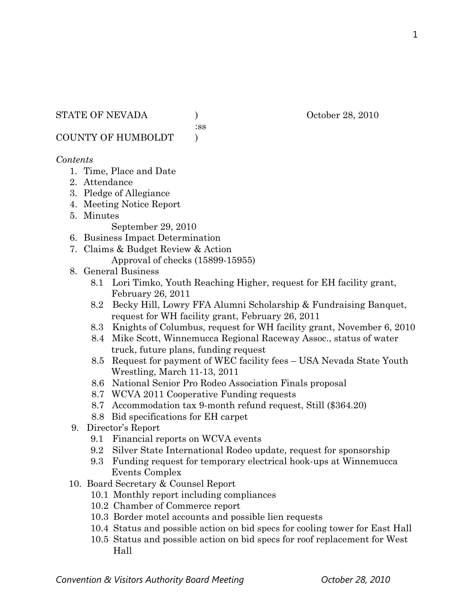:ss

COUNTY OF HUMBOLDT )

### *Contents*

- 1. Time, Place and Date
- 2. Attendance
- 3. Pledge of Allegiance
- 4. Meeting Notice Report
- 5. Minutes

September 29, 2010

- 6. Business Impact Determination
- 7. Claims & Budget Review & Action Approval of checks (15899-15955)
- 8. General Business
	- 8.1 Lori Timko, Youth Reaching Higher, request for EH facility grant, February 26, 2011
	- 8.2 Becky Hill, Lowry FFA Alumni Scholarship & Fundraising Banquet, request for WH facility grant, February 26, 2011
	- 8.3 Knights of Columbus, request for WH facility grant, November 6, 2010
	- 8.4 Mike Scott, Winnemucca Regional Raceway Assoc., status of water truck, future plans, funding request
	- 8.5 Request for payment of WEC facility fees USA Nevada State Youth Wrestling, March 11-13, 2011
	- 8.6 National Senior Pro Rodeo Association Finals proposal
	- 8.7 WCVA 2011 Cooperative Funding requests
	- 8.7 Accommodation tax 9-month refund request, Still (\$364.20)
	- 8.8 Bid specifications for EH carpet
- 9. Director's Report
	- 9.1 Financial reports on WCVA events
	- 9.2 Silver State International Rodeo update, request for sponsorship
	- 9.3 Funding request for temporary electrical hook-ups at Winnemucca Events Complex
- 10. Board Secretary & Counsel Report
	- 10.1 Monthly report including compliances
	- 10.2 Chamber of Commerce report
	- 10.3 Border motel accounts and possible lien requests
	- 10.4 Status and possible action on bid specs for cooling tower for East Hall
	- 10.5 Status and possible action on bid specs for roof replacement for West Hall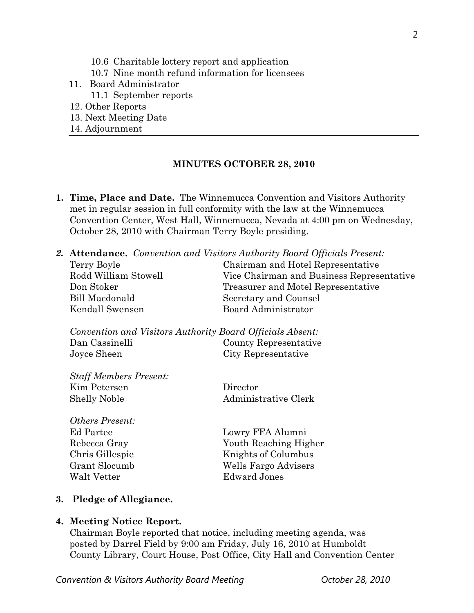- 10.7 Nine month refund information for licensees
- 11. Board Administrator
	- 11.1 September reports
- 12. Other Reports
- 13. Next Meeting Date
- 14. Adjournment

### **MINUTES OCTOBER 28, 2010**

**1. Time, Place and Date.** The Winnemucca Convention and Visitors Authority met in regular session in full conformity with the law at the Winnemucca Convention Center, West Hall, Winnemucca, Nevada at 4:00 pm on Wednesday, October 28, 2010 with Chairman Terry Boyle presiding.

|                                                           | <b>2. Attendance.</b> Convention and Visitors Authority Board Officials Present: |  |
|-----------------------------------------------------------|----------------------------------------------------------------------------------|--|
| Terry Boyle                                               | Chairman and Hotel Representative                                                |  |
| Rodd William Stowell                                      | Vice Chairman and Business Representative                                        |  |
| Don Stoker                                                | Treasurer and Motel Representative                                               |  |
| Bill Macdonald                                            | Secretary and Counsel                                                            |  |
| Kendall Swensen                                           | Board Administrator                                                              |  |
| Convention and Visitors Authority Board Officials Absent: |                                                                                  |  |
| Dan Cassinelli                                            | County Representative                                                            |  |
| Joyce Sheen                                               | City Representative                                                              |  |
|                                                           |                                                                                  |  |
| <b>Staff Members Present:</b>                             |                                                                                  |  |

| Kim Petersen | Director             |
|--------------|----------------------|
| Shelly Noble | Administrative Clerk |

*Others Present:*  Ed Partee Lowry FFA Alumni Chris Gillespie Knights of Columbus Grant Slocumb Wells Fargo Advisers Walt Vetter Edward Jones

Rebecca Gray Youth Reaching Higher

#### **3. Pledge of Allegiance.**

#### **4. Meeting Notice Report.**

Chairman Boyle reported that notice, including meeting agenda, was posted by Darrel Field by 9:00 am Friday, July 16, 2010 at Humboldt County Library, Court House, Post Office, City Hall and Convention Center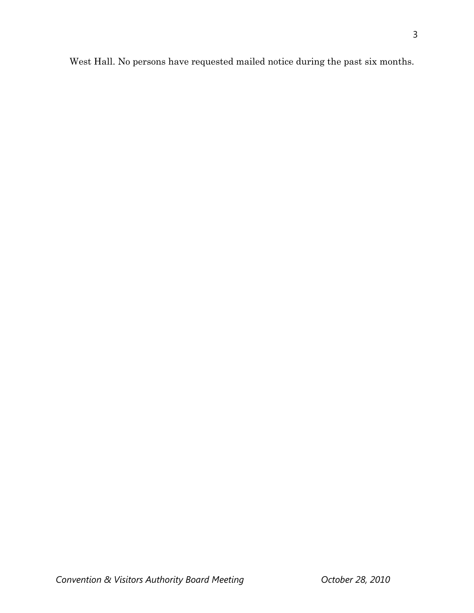West Hall. No persons have requested mailed notice during the past six months.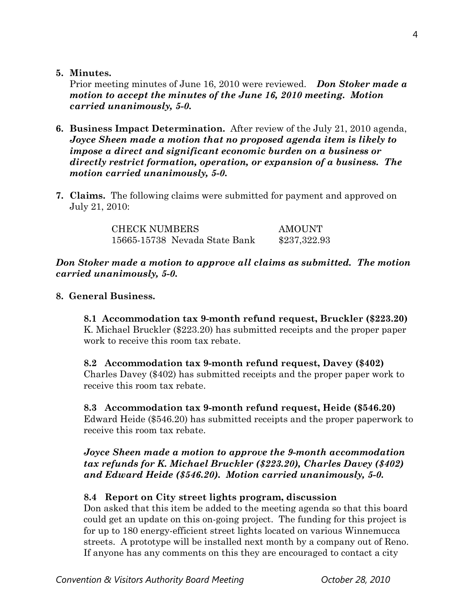**5. Minutes.** 

Prior meeting minutes of June 16, 2010 were reviewed. *Don Stoker made a motion to accept the minutes of the June 16, 2010 meeting. Motion carried unanimously, 5-0.* 

- **6. Business Impact Determination.** After review of the July 21, 2010 agenda, *Joyce Sheen made a motion that no proposed agenda item is likely to impose a direct and significant economic burden on a business or directly restrict formation, operation, or expansion of a business. The motion carried unanimously, 5-0.*
- **7. Claims.** The following claims were submitted for payment and approved on July 21, 2010:

CHECK NUMBERS AMOUNT 15665-15738 Nevada State Bank \$237,322.93

# *Don Stoker made a motion to approve all claims as submitted. The motion carried unanimously, 5-0.*

# **8. General Business.**

**8.1 Accommodation tax 9-month refund request, Bruckler (\$223.20)**  K. Michael Bruckler (\$223.20) has submitted receipts and the proper paper work to receive this room tax rebate.

# **8.2 Accommodation tax 9-month refund request, Davey (\$402)**  Charles Davey (\$402) has submitted receipts and the proper paper work to receive this room tax rebate.

## **8.3 Accommodation tax 9-month refund request, Heide (\$546.20)**

Edward Heide (\$546.20) has submitted receipts and the proper paperwork to receive this room tax rebate.

# *Joyce Sheen made a motion to approve the 9-month accommodation tax refunds for K. Michael Bruckler (\$223.20), Charles Davey (\$402) and Edward Heide (\$546.20). Motion carried unanimously, 5-0.*

# **8.4 Report on City street lights program, discussion**

Don asked that this item be added to the meeting agenda so that this board could get an update on this on-going project. The funding for this project is for up to 180 energy-efficient street lights located on various Winnemucca streets. A prototype will be installed next month by a company out of Reno. If anyone has any comments on this they are encouraged to contact a city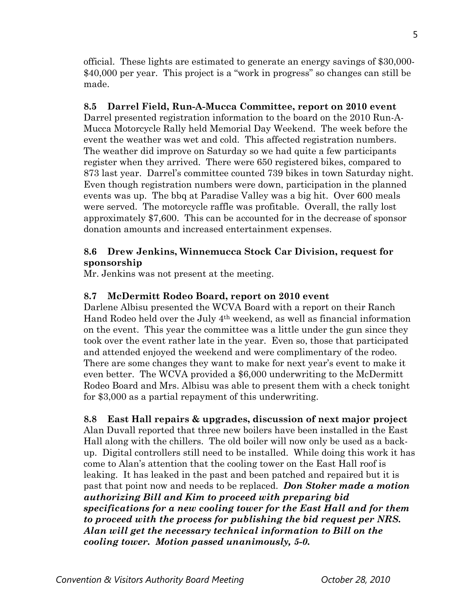official. These lights are estimated to generate an energy savings of \$30,000- \$40,000 per year. This project is a "work in progress" so changes can still be made.

# **8.5 Darrel Field, Run-A-Mucca Committee, report on 2010 event**

Darrel presented registration information to the board on the 2010 Run-A-Mucca Motorcycle Rally held Memorial Day Weekend. The week before the event the weather was wet and cold. This affected registration numbers. The weather did improve on Saturday so we had quite a few participants register when they arrived. There were 650 registered bikes, compared to 873 last year. Darrel's committee counted 739 bikes in town Saturday night. Even though registration numbers were down, participation in the planned events was up. The bbq at Paradise Valley was a big hit. Over 600 meals were served. The motorcycle raffle was profitable. Overall, the rally lost approximately \$7,600. This can be accounted for in the decrease of sponsor donation amounts and increased entertainment expenses.

# **8.6 Drew Jenkins, Winnemucca Stock Car Division, request for sponsorship**

Mr. Jenkins was not present at the meeting.

# **8.7 McDermitt Rodeo Board, report on 2010 event**

Darlene Albisu presented the WCVA Board with a report on their Ranch Hand Rodeo held over the July 4th weekend, as well as financial information on the event. This year the committee was a little under the gun since they took over the event rather late in the year. Even so, those that participated and attended enjoyed the weekend and were complimentary of the rodeo. There are some changes they want to make for next year's event to make it even better. The WCVA provided a \$6,000 underwriting to the McDermitt Rodeo Board and Mrs. Albisu was able to present them with a check tonight for \$3,000 as a partial repayment of this underwriting.

**8.8 East Hall repairs & upgrades, discussion of next major project**  Alan Duvall reported that three new boilers have been installed in the East Hall along with the chillers. The old boiler will now only be used as a backup. Digital controllers still need to be installed. While doing this work it has come to Alan's attention that the cooling tower on the East Hall roof is leaking. It has leaked in the past and been patched and repaired but it is past that point now and needs to be replaced. *Don Stoker made a motion authorizing Bill and Kim to proceed with preparing bid specifications for a new cooling tower for the East Hall and for them to proceed with the process for publishing the bid request per NRS. Alan will get the necessary technical information to Bill on the cooling tower. Motion passed unanimously, 5-0.*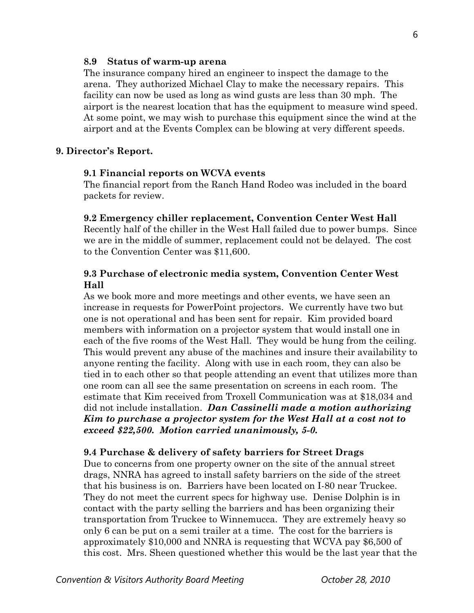#### **8.9 Status of warm-up arena**

The insurance company hired an engineer to inspect the damage to the arena. They authorized Michael Clay to make the necessary repairs. This facility can now be used as long as wind gusts are less than 30 mph. The airport is the nearest location that has the equipment to measure wind speed. At some point, we may wish to purchase this equipment since the wind at the airport and at the Events Complex can be blowing at very different speeds.

### **9. Director's Report.**

#### **9.1 Financial reports on WCVA events**

The financial report from the Ranch Hand Rodeo was included in the board packets for review.

#### **9.2 Emergency chiller replacement, Convention Center West Hall**

Recently half of the chiller in the West Hall failed due to power bumps. Since we are in the middle of summer, replacement could not be delayed. The cost to the Convention Center was \$11,600.

### **9.3 Purchase of electronic media system, Convention Center West Hall**

As we book more and more meetings and other events, we have seen an increase in requests for PowerPoint projectors. We currently have two but one is not operational and has been sent for repair. Kim provided board members with information on a projector system that would install one in each of the five rooms of the West Hall. They would be hung from the ceiling. This would prevent any abuse of the machines and insure their availability to anyone renting the facility. Along with use in each room, they can also be tied in to each other so that people attending an event that utilizes more than one room can all see the same presentation on screens in each room. The estimate that Kim received from Troxell Communication was at \$18,034 and did not include installation. *Dan Cassinelli made a motion authorizing Kim to purchase a projector system for the West Hall at a cost not to exceed \$22,500. Motion carried unanimously, 5-0.* 

#### **9.4 Purchase & delivery of safety barriers for Street Drags**

Due to concerns from one property owner on the site of the annual street drags, NNRA has agreed to install safety barriers on the side of the street that his business is on. Barriers have been located on I-80 near Truckee. They do not meet the current specs for highway use. Denise Dolphin is in contact with the party selling the barriers and has been organizing their transportation from Truckee to Winnemucca. They are extremely heavy so only 6 can be put on a semi trailer at a time. The cost for the barriers is approximately \$10,000 and NNRA is requesting that WCVA pay \$6,500 of this cost. Mrs. Sheen questioned whether this would be the last year that the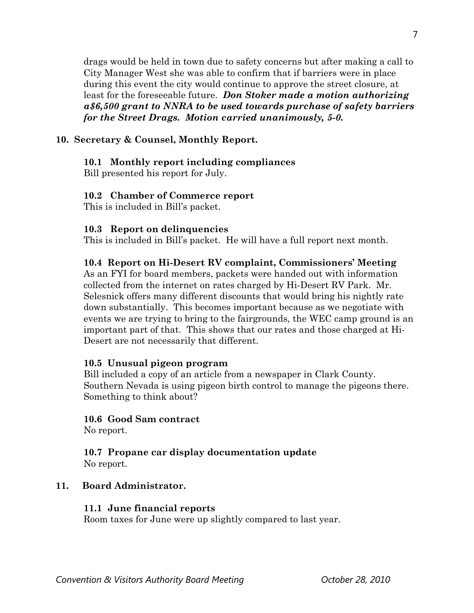drags would be held in town due to safety concerns but after making a call to City Manager West she was able to confirm that if barriers were in place during this event the city would continue to approve the street closure, at least for the foreseeable future. *Don Stoker made a motion authorizing a\$6,500 grant to NNRA to be used towards purchase of safety barriers for the Street Drags. Motion carried unanimously, 5-0.* 

# **10. Secretary & Counsel, Monthly Report.**

# **10.1 Monthly report including compliances**

Bill presented his report for July.

# **10.2 Chamber of Commerce report**

This is included in Bill's packet.

# **10.3 Report on delinquencies**

This is included in Bill's packet. He will have a full report next month.

# **10.4 Report on Hi-Desert RV complaint, Commissioners' Meeting**

As an FYI for board members, packets were handed out with information collected from the internet on rates charged by Hi-Desert RV Park. Mr. Selesnick offers many different discounts that would bring his nightly rate down substantially. This becomes important because as we negotiate with events we are trying to bring to the fairgrounds, the WEC camp ground is an important part of that. This shows that our rates and those charged at Hi-Desert are not necessarily that different.

# **10.5 Unusual pigeon program**

Bill included a copy of an article from a newspaper in Clark County. Southern Nevada is using pigeon birth control to manage the pigeons there. Something to think about?

## **10.6 Good Sam contract**

No report.

## **10.7 Propane car display documentation update**  No report.

# **11. Board Administrator.**

## **11.1 June financial reports**

Room taxes for June were up slightly compared to last year.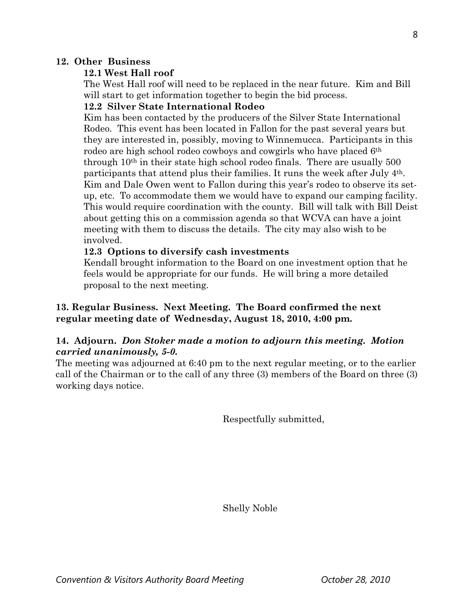## **12. Other Business**

# **12.1 West Hall roof**

The West Hall roof will need to be replaced in the near future. Kim and Bill will start to get information together to begin the bid process.

## **12.2 Silver State International Rodeo**

Kim has been contacted by the producers of the Silver State International Rodeo. This event has been located in Fallon for the past several years but they are interested in, possibly, moving to Winnemucca. Participants in this rodeo are high school rodeo cowboys and cowgirls who have placed 6th through 10th in their state high school rodeo finals. There are usually 500 participants that attend plus their families. It runs the week after July 4th. Kim and Dale Owen went to Fallon during this year's rodeo to observe its set up, etc. To accommodate them we would have to expand our camping facility. This would require coordination with the county. Bill will talk with Bill Deist about getting this on a commission agenda so that WCVA can have a joint meeting with them to discuss the details. The city may also wish to be involved.

# **12.3 Options to diversify cash investments**

Kendall brought information to the Board on one investment option that he feels would be appropriate for our funds. He will bring a more detailed proposal to the next meeting.

# **13. Regular Business. Next Meeting. The Board confirmed the next regular meeting date of Wednesday, August 18, 2010, 4:00 pm.**

# **14. Adjourn.** *Don Stoker made a motion to adjourn this meeting. Motion carried unanimously, 5-0.*

The meeting was adjourned at 6:40 pm to the next regular meeting, or to the earlier call of the Chairman or to the call of any three (3) members of the Board on three (3) working days notice.

Respectfully submitted,

Shelly Noble